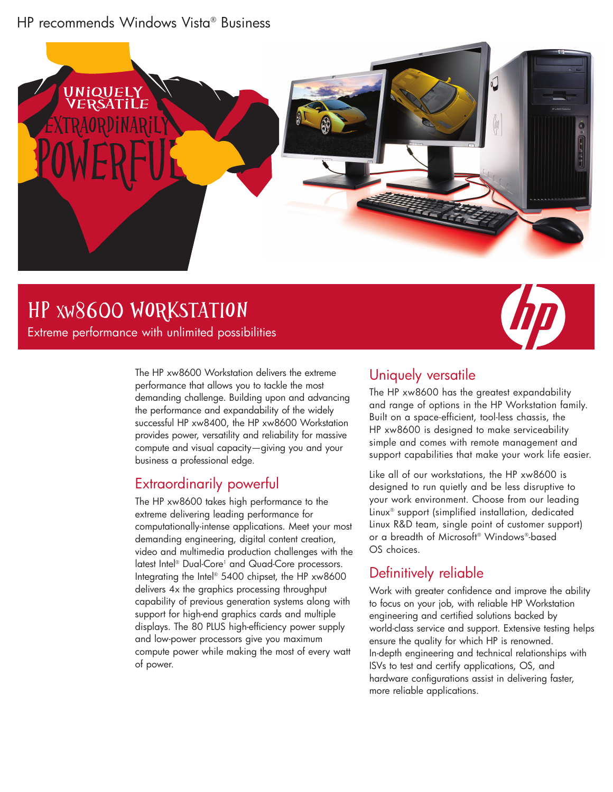#### HP recommends Windows Vista® Business



# HP XW8600 WorkstatIon

Extreme performance with unlimited possibilities

The HP xw8600 Workstation delivers the extreme performance that allows you to tackle the most demanding challenge. Building upon and advancing the performance and expandability of the widely successful HP xw8400, the HP xw8600 Workstation provides power, versatility and reliability for massive compute and visual capacity—giving you and your business a professional edge.

### Extraordinarily powerful

The HP xw8600 takes high performance to the extreme delivering leading performance for computationally-intense applications. Meet your most demanding engineering, digital content creation, video and multimedia production challenges with the latest Intel® Dual-Core<sup>1</sup> and Quad-Core processors. Integrating the Intel® 5400 chipset, the HP xw8600 delivers 4x the graphics processing throughput capability of previous generation systems along with support for high-end graphics cards and multiple displays. The 80 PLUS high-efficiency power supply and low-power processors give you maximum compute power while making the most of every watt of power.

### Uniquely versatile

The HP xw8600 has the greatest expandability and range of options in the HP Workstation family. Built on a space-efficient, tool-less chassis, the HP xw8600 is designed to make serviceability simple and comes with remote management and support capabilities that make your work life easier.

Like all of our workstations, the HP xw8600 is designed to run quietly and be less disruptive to your work environment. Choose from our leading Linux® support (simplified installation, dedicated Linux R&D team, single point of customer support) or a breadth of Microsoft® Windows®-based OS choices.

### Definitively reliable

Work with greater confidence and improve the ability to focus on your job, with reliable HP Workstation engineering and certified solutions backed by world-class service and support. Extensive testing helps ensure the quality for which HP is renowned. In-depth engineering and technical relationships with ISVs to test and certify applications, OS, and hardware configurations assist in delivering faster, more reliable applications.